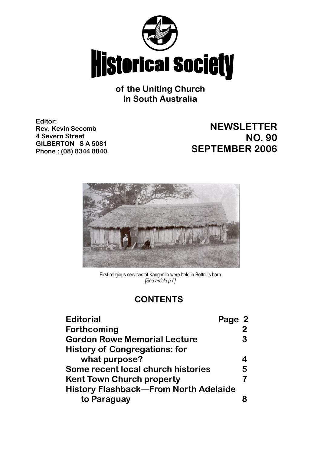

**of the Uniting Church in South Australia**

**Editor: Rev. Kevin Secomb 4 Severn Street GILBERTON S A 5081 Phone : (08) 8344 8840**

# **NEWSLETTER NO. 90 SEPTEMBER 2006**



First religious services at Kangarilla were held in Bottrill's barn *[See article p.5]*

## **CONTENTS**

| <b>Editorial</b>                             | Page 2 |   |
|----------------------------------------------|--------|---|
| Forthcoming                                  |        |   |
| <b>Gordon Rowe Memorial Lecture</b>          |        | З |
| <b>History of Congregations: for</b>         |        |   |
| what purpose?                                |        |   |
| Some recent local church histories           |        | 5 |
| <b>Kent Town Church property</b>             |        |   |
| <b>History Flashback-From North Adelaide</b> |        |   |
| to Paraguay                                  |        |   |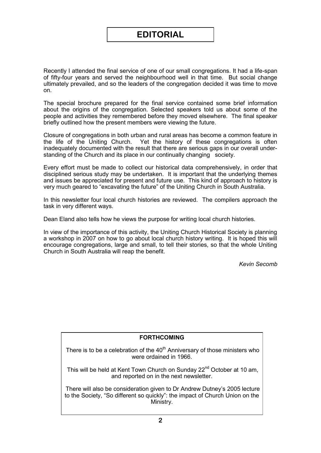Recently I attended the final service of one of our small congregations. It had a life-span of fifty-four years and served the neighbourhood well in that time. But social change ultimately prevailed, and so the leaders of the congregation decided it was time to move on.

The special brochure prepared for the final service contained some brief information about the origins of the congregation. Selected speakers told us about some of the people and activities they remembered before they moved elsewhere. The final speaker briefly outlined how the present members were viewing the future.

Closure of congregations in both urban and rural areas has become a common feature in the life of the Uniting Church. Yet the history of these congregations is often inadequately documented with the result that there are serious gaps in our overall understanding of the Church and its place in our continually changing society.

Every effort must be made to collect our historical data comprehensively, in order that disciplined serious study may be undertaken. It is important that the underlying themes and issues be appreciated for present and future use. This kind of approach to history is very much geared to "excavating the future" of the Uniting Church in South Australia.

In this newsletter four local church histories are reviewed. The compilers approach the task in very different ways.

Dean Eland also tells how he views the purpose for writing local church histories.

In view of the importance of this activity, the Uniting Church Historical Society is planning a workshop in 2007 on how to go about local church history writing. It is hoped this will encourage congregations, large and small, to tell their stories, so that the whole Uniting Church in South Australia will reap the benefit.

*Kevin Secomb*

#### **FORTHCOMING**

There is to be a celebration of the  $40<sup>th</sup>$  Anniversary of those ministers who were ordained in 1966.

This will be held at Kent Town Church on Sunday 22<sup>nd</sup> October at 10 am, and reported on in the next newsletter.

There will also be consideration given to Dr Andrew Dutney's 2005 lecture to the Society, "So different so quickly": the impact of Church Union on the Ministry.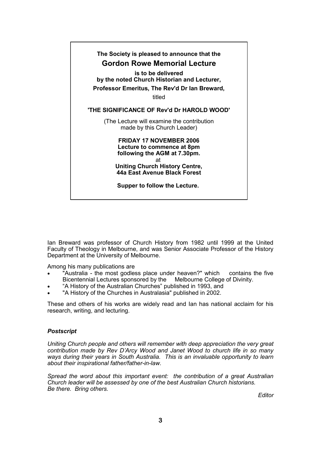

Ian Breward was professor of Church History from 1982 until 1999 at the United Faculty of Theology in Melbourne, and was Senior Associate Professor of the History Department at the University of Melbourne.

Among his many publications are

- "Australia the most godless place under heaven?" which contains the five<br>Bicentennial Lectures sponsored by the Melbourne College of Divinity. Bicentennial Lectures sponsored by the
- "A History of the Australian Churches" published in 1993, and
- "A History of the Churches in Australasia" published in 2002.

These and others of his works are widely read and Ian has national acclaim for his research, writing, and lecturing.

#### *Postscript*

*Uniting Church people and others will remember with deep appreciation the very great contribution made by Rev D'Arcy Wood and Janet Wood to church life in so many ways during their years in South Australia. This is an invaluable opportunity to learn about their inspirational father/father-in-law.*

*Spread the word about this important event: the contribution of a great Australian Church leader will be assessed by one of the best Australian Church historians. Be there. Bring others.*

*Editor*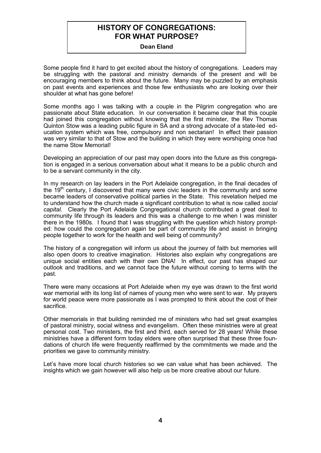## **HISTORY OF CONGREGATIONS: FOR WHAT PURPOSE?**

**Dean Eland**

Some people find it hard to get excited about the history of congregations. Leaders may be struggling with the pastoral and ministry demands of the present and will be encouraging members to think about the future. Many may be puzzled by an emphasis on past events and experiences and those few enthusiasts who are looking over their shoulder at what has gone before!

Some months ago I was talking with a couple in the Pilgrim congregation who are passionate about State education. In our conversation it became clear that this couple had joined this congregation without knowing that the first minister, the Rev Thomas Quinton Stow was a leading public figure in SA and a strong advocate of a state-led education system which was free, compulsory and non sectarian! In effect their passion was very similar to that of Stow and the building in which they were worshiping once had the name Stow Memorial!

Developing an appreciation of our past may open doors into the future as this congregation is engaged in a serious conversation about what it means to be a public church and to be a servant community in the city.

In my research on lay leaders in the Port Adelaide congregation, in the final decades of the  $19<sup>th</sup>$  century. I discovered that many were civic leaders in the community and some became leaders of conservative political parties in the State. This revelation helped me to understand how the church made a significant contribution to what is now called *social capital.* Clearly the Port Adelaide Congregational church contributed a great deal to community life through its leaders and this was a challenge to me when I was minister there in the 1980s. I found that I was struggling with the question which history prompted: how could the congregation again be part of community life and assist in bringing people together to work for the health and well being of community?

The history of a congregation will inform us about the journey of faith but memories will also open doors to creative imagination. Histories also explain why congregations are unique social entities each with their own DNA! In effect, our past has shaped our outlook and traditions, and we cannot face the future without coming to terms with the past.

There were many occasions at Port Adelaide when my eye was drawn to the first world war memorial with its long list of names of young men who were sent to war. My prayers for world peace were more passionate as I was prompted to think about the cost of their sacrifice.

Other memorials in that building reminded me of ministers who had set great examples of pastoral ministry, social witness and evangelism. Often these ministries were at great personal cost. Two ministers, the first and third, each served for 28 years! While these ministries have a different form today elders were often surprised that these three foundations of church life were frequently reaffirmed by the commitments we made and the priorities we gave to community ministry.

Let's have more local church histories so we can value what has been achieved. The insights which we gain however will also help us be more creative about our future.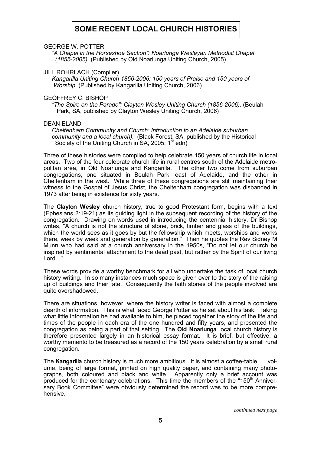## **SOME RECENT LOCAL CHURCH HISTORIES**

GEORGE W. POTTER

 *"A Chapel in the Horseshoe Section": Noarlunga Wesleyan Methodist Chapel (1855-2005).* (Published by Old Noarlunga Uniting Church, 2005)

JILL ROHRLACH (Compiler)

 *Kangarilla Uniting Church 1856-2006: 150 years of Praise and 150 years of Worship.* (Published by Kangarilla Uniting Church, 2006)

#### GEOFFREY C. BISHOP

 *"The Spire on the Parade": Clayton Wesley Uniting Church (1856-2006).* (Beulah Park, SA, published by Clayton Wesley Uniting Church, 2006)

#### DEAN ELAND

 *Cheltenham Community and Church: Introduction to an Adelaide suburban community and a local church).* (Black Forest, SA, published by the Historical Society of the Uniting Church in SA, 2005,  $1<sup>st</sup>$  edn)

Three of these histories were compiled to help celebrate 150 years of church life in local areas. Two of the four celebrate church life in rural centres south of the Adelaide metropolitan area, in Old Noarlunga and Kangarilla. The other two come from suburban congregations, one situated in Beulah Park, east of Adelaide, and the other in Cheltenham in the west. While three of these congregations are still maintaining their witness to the Gospel of Jesus Christ, the Cheltenham congregation was disbanded in 1973 after being in existence for sixty years.

The **Clayton Wesley** church history, true to good Protestant form, begins with a text (Ephesians 2:19-21) as its guiding light in the subsequent recording of the history of the congregation. Drawing on words used in introducing the centennial history, Dr Bishop writes, "A church is not the structure of stone, brick, timber and glass of the buildings, which the world sees as it goes by but the fellowship which meets, worships and works there, week by week and generation by generation." Then he quotes the Rev Sidney M Munn who had said at a church anniversary in the 1950s, "Do not let our church be inspired by sentimental attachment to the dead past, but rather by the Spirit of our living Lord…"

These words provide a worthy benchmark for all who undertake the task of local church history writing. In so many instances much space is given over to the story of the raising up of buildings and their fate. Consequently the faith stories of the people involved are quite overshadowed.

There are situations, however, where the history writer is faced with almost a complete dearth of information. This is what faced George Potter as he set about his task. Taking what little information he had available to him, he pieced together the story of the life and times of the people in each era of the one hundred and fifty years, and presented the congregation as being a part of that setting. The **Old Noarlunga** local church history is therefore presented largely in an historical essay format. It is brief, but effective, a worthy memento to be treasured as a record of the 150 years celebration by a small rural congregation.

The **Kangarilla** church history is much more ambitious. It is almost a coffee-table volume, being of large format, printed on high quality paper, and containing many photographs, both coloured and black and white. Apparently only a brief account was produced for the centenary celebrations. This time the members of the "150<sup>th</sup> Anniversary Book Committee" were obviously determined the record was to be more comprehensive.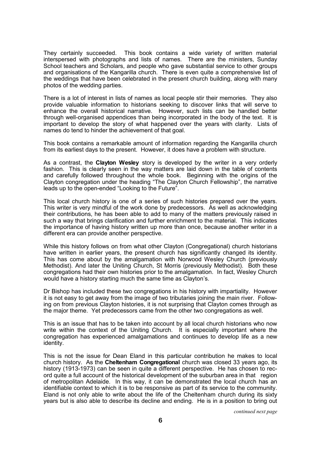They certainly succeeded. This book contains a wide variety of written material interspersed with photographs and lists of names. There are the ministers, Sunday School teachers and Scholars, and people who gave substantial service to other groups and organisations of the Kangarilla church. There is even quite a comprehensive list of the weddings that have been celebrated in the present church building, along with many photos of the wedding parties.

There is a lot of interest in lists of names as local people stir their memories. They also provide valuable information to historians seeking to discover links that will serve to enhance the overall historical narrative. However, such lists can be handled better through well-organised appendices than being incorporated in the body of the text. It is important to develop the story of what happened over the years with clarity. Lists of names do tend to hinder the achievement of that goal.

This book contains a remarkable amount of information regarding the Kangarilla church from its earliest days to the present. However, it does have a problem with structure.

As a contrast, the **Clayton Wesley** story is developed by the writer in a very orderly fashion. This is clearly seen in the way matters are laid down in the table of contents and carefully followed throughout the whole book. Beginning with the origins of the Clayton congregation under the heading "The Clayton Church Fellowship", the narrative leads up to the open-ended "Looking to the Future".

This local church history is one of a series of such histories prepared over the years. This writer is very mindful of the work done by predecessors. As well as acknowledging their contributions, he has been able to add to many of the matters previously raised in such a way that brings clarification and further enrichment to the material. This indicates the importance of having history written up more than once, because another writer in a different era can provide another perspective.

While this history follows on from what other Clayton (Congregational) church historians have written in earlier years, the present church has significantly changed its identity. This has come about by the amalgamation with Norwood Wesley Church (previously Methodist). And later the Uniting Church, St Morris (previously Methodist). Both these congregations had their own histories prior to the amalgamation. In fact, Wesley Church would have a history starting much the same time as Clayton's.

Dr Bishop has included these two congregations in his history with impartiality. However it is not easy to get away from the image of two tributaries joining the main river. Following on from previous Clayton histories, it is not surprising that Clayton comes through as the major theme. Yet predecessors came from the other two congregations as well.

This is an issue that has to be taken into account by all local church historians who now write within the context of the Uniting Church. It is especially important where the congregation has experienced amalgamations and continues to develop life as a new identity.

This is not the issue for Dean Eland in this particular contribution he makes to local church history. As the **Cheltenham Congregational** church was closed 33 years ago, its history (1913-1973) can be seen in quite a different perspective. He has chosen to record quite a full account of the historical development of the suburban area in that region of metropolitan Adelaide. In this way, it can be demonstrated the local church has an identifiable context to which it is to be responsive as part of its service to the community. Eland is not only able to write about the life of the Cheltenham church during its sixty years but is also able to describe its decline and ending. He is in a position to bring out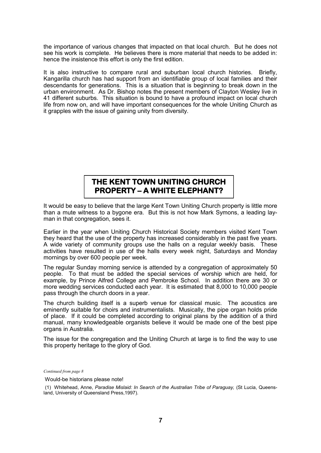the importance of various changes that impacted on that local church. But he does not see his work is complete. He believes there is more material that needs to be added in: hence the insistence this effort is only the first edition.

It is also instructive to compare rural and suburban local church histories. Briefly, Kangarilla church has had support from an identifiable group of local families and their descendants for generations. This is a situation that is beginning to break down in the urban environment. As Dr. Bishop notes the present members of Clayton Wesley live in 41 different suburbs. This situation is bound to have a profound impact on local church life from now on, and will have important consequences for the whole Uniting Church as it grapples with the issue of gaining unity from diversity.

## **THE KENT TOWN UNITING CHURCH PROPERTY – A WHITE ELEPHANT?**

It would be easy to believe that the large Kent Town Uniting Church property is little more than a mute witness to a bygone era. But this is not how Mark Symons, a leading layman in that congregation, sees it.

Earlier in the year when Uniting Church Historical Society members visited Kent Town they heard that the use of the property has increased considerably in the past five years. A wide variety of community groups use the halls on a regular weekly basis. These activities have resulted in use of the halls every week night, Saturdays and Monday mornings by over 600 people per week.

The regular Sunday morning service is attended by a congregation of approximately 50 people. To that must be added the special services of worship which are held, for example, by Prince Alfred College and Pembroke School. In addition there are 30 or more wedding services conducted each year. It is estimated that 8,000 to 10,000 people pass through the church doors in a year.

The church building itself is a superb venue for classical music. The acoustics are eminently suitable for choirs and instrumentalists. Musically, the pipe organ holds pride of place. If it could be completed according to original plans by the addition of a third manual, many knowledgeable organists believe it would be made one of the best pipe organs in Australia.

The issue for the congregation and the Uniting Church at large is to find the way to use this property heritage to the glory of God.

*Continued from page 8*

Would-be historians please note!

<sup>(1)</sup> Whitehead, Anne, *Paradise Mislaid: In Search of the Australian Tribe of Paraguay,* (St Lucia, Queensland, University of Queensland Press,1997).